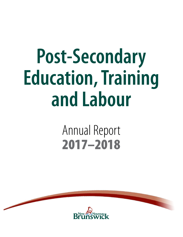# **Post-Secondary Education, Training and Labour**

# Annual Report 2017–2018

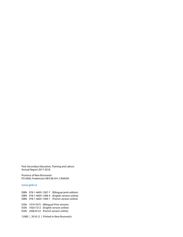Post-Secondary Education, Training and Labour Annual Report 2017-2018

Province of New Brunswick PO 6000, Fredericton NB E3B 5H1 CANADA

#### [www.gnb.ca](http://www.gnb.ca)

ISBN: 978-1-4605-1587-7 (Bilingual print edition) ISBN: 978-1-4605-1588-4 (English version online) ISBN: 978-1-4605-1589-1 (French version online) ISSN: 1919-7675 (Bilingual Print version) ISSN: 1920-7212 (English version online)

ISSN: 2368-8122 (French version online)

12085 | 2018.12 | Printed in New Brunswick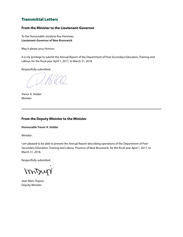### Transmittal Letters

#### **From the Minister to the Lieutenant-Governor**

To the Honourable Jocelyne Roy Vienneau **Lieutenant-Governor of New Brunswick**

May it please your Honour:

It is my privilege to submit the Annual Report of the Department of Post-Secondary Education, Training and Labour, for the fiscal year April 1, 2017, to March 31, 2018.

Respectfully submitted,

VIALEO

Trevor A. Holder Minister

#### **From the Deputy Minister to the Minister**

**Honourable Trevor A. Holder** 

Minister:

I am pleased to be able to present the Annual Report describing operations of the Department of Post-Secondary Education, Training and Labour, Province of New Brunswick, for the fiscal year April 1, 2017, to March 31, 2018.

Respectfully submitted,

mony

Jean-Marc Dupuis Deputy Minister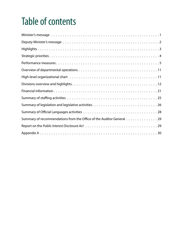# Table of contents

| Summary of recommendations from the Office of the Auditor General 29 |
|----------------------------------------------------------------------|
|                                                                      |
|                                                                      |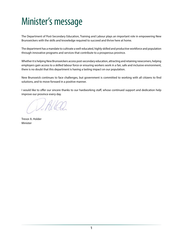# <span id="page-4-0"></span>Minister's message

The Department of Post-Secondary Education, Training and Labour plays an important role in empowering New Brunswickers with the skills and knowledge required to succeed and thrive here at home.

The department has a mandate to cultivate a well-educated, highly skilled and productive workforce and population through innovative programs and services that contribute to a prosperous province.

Whether it is helping New Brunswickers access post-secondary education, attracting and retaining newcomers, helping employers gain access to a skilled labour force or ensuring workers work in a fair, safe and inclusive environment, there is no doubt that this department is having a lasting impact on our population.

New Brunswick continues to face challenges, but government is committed to working with all citizens to find solutions, and to move forward in a positive manner.

I would like to offer our sincere thanks to our hardworking staff, whose continued support and dedication help improve our province every day.

VALLED

Trevor A. Holder Minister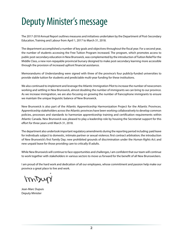# <span id="page-5-0"></span>Deputy Minister's message

The 2017-2018 Annual Report outlines measures and initiatives undertaken by the Department of Post-Secondary Education, Training and Labour from April 1, 2017 to March 31, 2018.

The department accomplished a number of key goals and objectives throughout the fiscal year. For a second year, the number of students accessing the Free Tuition Program increased. The program, which promotes access to public post-secondary education in New Brunswick, was complemented by the introduction of Tuition Relief for the Middle Class, a new non-repayable provincial bursary designed to make post-secondary learning more accessible through the provision of increased upfront financial assistance.

Memorandums of Understanding were signed with three of the province's four publicly-funded universities to provide stable tuition for students and predictable multi-year funding for these institutions.

We also continued to implement and leverage the Atlantic Immigration Pilot to increase the number of newcomers working and settling in New Brunswick, almost doubling the number of immigrants we can bring to our province. As we increase immigration, we are also focusing on growing the number of francophone immigrants to ensure we maintain the unique linguistic balance of New Brunswick.

New Brunswick is also part of the Atlantic Apprenticeship Harmonization Project for the Atlantic Provinces. Apprenticeship stakeholders across the Atlantic provinces have been working collaboratively to develop common policies, processes and standards to harmonize apprenticeship training and certification requirements within Atlantic Canada. New Brunswick was pleased to play a leadership role by housing the Secretariat support for this effort for three years until March 31, 2018.

The department also undertook important regulatory amendments during the reporting period including: paid leave for individuals subject to domestic, intimate partner or sexual violence; first contract arbitration; the introduction of New Brunswick's first Family Day; new prohibited grounds of discrimination under the *Human Rights Act*; and new unpaid leave for those providing care to critically ill adults.

While New Brunswick will continue to face opportunities and challenges, I am confident that our team will continue to work together with stakeholders in various sectors to move us forward for the benefit of all New Brunswickers.

I am proud of the hard work and dedication of all our employees, whose commitment and passion help make our province a great place to live and work.

mony

Jean-Marc Dupuis Deputy Minister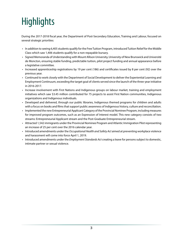# <span id="page-6-0"></span>**Highlights**

During the 2017-2018 fiscal year, the Department of Post-Secondary Education, Training and Labour, focused on several strategic priorities:

- In addition to seeing 6,405 students qualify for the Free Tuition Program, introduced Tuition Relief for the Middle Class which saw 1,406 students qualify for a non-repayable bursary.
- Signed Memoranda of Understanding with Mount Allison University, University of New Brunswick and Université de Moncton, ensuring stable funding, predictable tuition, pilot project funding and annual appearance before a legislative committee.
- Increased apprenticeship registrations by 19 per cent (186) and certificates issued by 8 per cent (92) over the previous year.
- Continued to work closely with the Department of Social Development to deliver the Experiential Learning and Employment Continuum, exceeding the target goal of clients served since the launch of the three-year initiative in 2016-2017.
- Increase involvement with First Nations and Indigenous groups on labour market, training and employment initiatives which saw \$3.45 million contributed for 75 projects to assist First Nation communities, Indigenous organizations and Indigenous individuals.
- Developed and delivered, through our public libraries, Indigenous themed programs for children and adults with a focus on books and films that support public awareness of Indigenous history, culture and reconciliation.
- Implemented the new Entrepreneurial Applicant Category of the Provincial Nominee Program, including measures for improved program outcomes, such as an Expression of Interest model. This new category consists of two streams: Entrepreneurial Applicant stream and the Post-Graduate Entrepreneurial stream.
- Attracted 1,542 immigrants under the Provincial Nominee Program and Atlantic Immigration Pilot representing an increase of 25 per cent over the 2016 calendar year.
- Introduced amendments under the *Occupational Health and Safety Act* aimed at preventing workplace violence and harassment will come into force April 1, 2019.
- Introduced amendments under the *Employment Standards Act* creating a leave for persons subject to domestic, intimate partner or sexual violence.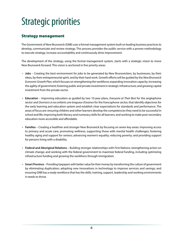# <span id="page-7-0"></span>Strategic priorities

### Strategy management

The Government of New Brunswick (GNB) uses a formal management system built on leading business practices to develop, communicate and review strategy. This process provides the public service with a proven methodology to execute strategy, increase accountability and continuously drive improvement.

The development of the strategy, using the formal management system, starts with a strategic vision to move New Brunswick forward. This vision is anchored in five priority areas:

- **Jobs** Creating the best environment for jobs to be generated by New Brunswickers, by businesses, by their ideas, by their entrepreneurial spirit, and by their hard work. Growth efforts will be guided by the *New Brunswick Economic Growth Plan*, which focuses on strengthening the workforce; expanding innovation capacity; increasing the agility of government; fostering public and private investment in strategic infrastructure; and growing capital investment from the private sector.
- **Education** Improving education as guided by two 10-year plans, *Everyone at Their Best* for the anglophone sector and *Donnons à nos enfants une longueur d'avance* for the francophone sector, that identify objectives for the early learning and education system and establish clear expectations for standards and performance. The areas of focus are: ensuring children and other learners develop the competencies they need to be successful in school and life; improving both literacy and numeracy skills for all learners; and working to make post-secondary education more accessible and affordable.
- **Families** Creating a healthier and stronger New Brunswick by focusing on seven key areas: improving access to primary and acute care; promoting wellness; supporting those with mental health challenges; fostering healthy aging and support for seniors; advancing women's equality; reducing poverty; and providing support for persons living with a disability.
- **Federal and Aboriginal Relations** Building stronger relationships with First Nations; strengthening action on climate change; and working with the federal government to maximize federal funding, including optimizing infrastructure funding and growing the workforce through immigration.
- **Smart Province** Providing taxpayers with better value for their money by transforming the culture of government by eliminating duplication; adopting new innovations in technology to improve services and savings; and ensuring GNB has a ready workforce that has the skills, training, support, leadership and working environments it needs to thrive.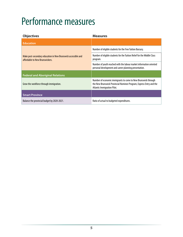# <span id="page-8-0"></span>Performance measures

| <b>Objectives</b>                                                                                | <b>Measures</b>                                                                                                                                                      |
|--------------------------------------------------------------------------------------------------|----------------------------------------------------------------------------------------------------------------------------------------------------------------------|
| <b>Education</b>                                                                                 |                                                                                                                                                                      |
|                                                                                                  | Number of eligible students for the Free Tuition Bursary.                                                                                                            |
| Make post-secondary education in New Brunswick accessible and<br>affordable to New Brunswickers. | Number of eligible students for the Tuition Relief for the Middle Class<br>program.                                                                                  |
|                                                                                                  | Number of youth reached with the labour market information oriented<br>personal development and career planning presentation.                                        |
| <b>Federal and Aboriginal Relations</b>                                                          |                                                                                                                                                                      |
| Grow the workforce through immigration.                                                          | Number of economic immigrants to come to New Brunswick through<br>the New Brunswick Provincial Nominee Program, Express Entry and the<br>Atlantic Immigration Pilot. |
| <b>Smart Province</b>                                                                            |                                                                                                                                                                      |
| Balance the provincial budget by 2020-2021.                                                      | Ratio of actual to budgeted expenditures.                                                                                                                            |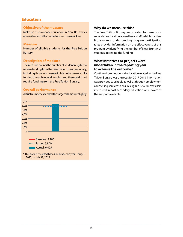### Education

#### **Objective of the measure**

Make post-secondary education in New Brunswick accessible and affordable to New Brunswickers.

#### **Measure**

Number of eligible students for the Free Tuition Bursary.

#### **Description of measure**

The measure counts the number of students eligible to receive funding from the Free Tuition Bursary annually, including those who were eligible but who were fully funded through federal funding and thereby did not require funding from the Free Tuition Bursary.

#### **Overall performance**

Actual number exceeded the targeted amount slightly.



#### **Why do we measure this?**

The Free Tuition Bursary was created to make postsecondary education accessible and affordable for New Brunswickers. Understanding program participation rates provides information on the effectiveness of this program by identifying the number of New Brunswick students accessing the funding.

#### **What initiatives or projects were undertaken in the reporting year to achieve the outcome?**

Continued promotion and education related to the Free Tuition Bursary was the focus for 2017-2018. Information was provided to schools as well as through employment counselling services to ensure eligible New Brunswickers interested in post-secondary education were aware of the support available.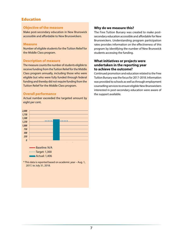### Education

#### **Objective of the measure**

Make post-secondary education in New Brunswick accessible and affordable to New Brunswickers.

#### **Measure**

Number of eligible students for the Tuition Relief for the Middle Class program.

#### **Description of measure**

The measure counts the number of students eligible to receive funding from the Tuition Relief for the Middle Class program annually, including those who were eligible but who were fully funded through federal funding and thereby did not require funding from the Tuition Relief for the Middle Class program.

#### **Overall performance**

Actual number exceeded the targeted amount by eight per cent.



\* This data is reported based on academic year – Aug. 1, 2017, to July 31, 2018.

#### **Why do we measure this?**

The Free Tuition Bursary was created to make postsecondary education accessible and affordable for New Brunswickers. Understanding program participation rates provides information on the effectiveness of this program by identifying the number of New Brunswick students accessing the funding.

#### **What initiatives or projects were undertaken in the reporting year to achieve the outcome?**

Continued promotion and education related to the Free Tuition Bursary was the focus for 2017-2018. Information was provided to schools as well as through employment counselling services to ensure eligible New Brunswickers interested in post-secondary education were aware of the support available.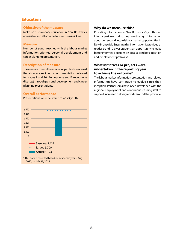### Education

#### **Objective of the measure**

Make post-secondary education in New Brunswick accessible and affordable to New Brunswickers.

#### **Measure**

Number of youth reached with the labour market information oriented personal development and career planning presentation.

#### **Description of measure**

The measure counts the number of youth who received the labour market information presentation delivered to grades 9 and 10 (Anglophone and Francophone districts) through personal development and career planning presentations.

#### **Overall performance**

Presentations were delivered to 4,173 youth.



#### **Why do we measure this?**

Providing information to New Brunswick's youth is an integral part in ensuring they have the right information about current and future labour market opportunities in New Brunswick. Ensuring this information is provided at grades 9 and 10 gives students an opportunity to make better informed decisions on post-secondary education and employment pathways.

#### **What initiatives or projects were undertaken in the reporting year to achieve the outcome?**

The labour market information presentation and related information have continued to evolve since their inception. Partnerships have been developed with the regional employment and continuous learning staff to support increased delivery efforts around the province.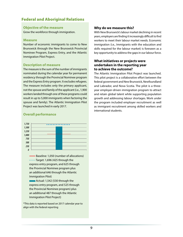### Federal and Aboriginal Relations

#### **Objective of the measure**

Grow the workforce through immigration.

#### **Measure**

Number of economic immigrants to come to New Brunswick through the New Brunswick Provincial Nominee Program, Express Entry, and the Atlantic Immigration Pilot Project.

#### **Description of measure**

The measure is the sum of the number of immigrants nominated during the calendar year for permanent residency through the Provincial Nominee program and the Express Entry program. It excludes refugees. The measure includes only the primary applicant, not the spouse and family of the applicant (i.e., 1,900 workers landed through one of these programs could result in up to 5,000 immigrants when factoring the spouse and family). The Atlantic Immigration Pilot Project was launched in early 2017.

#### **Overall performance**



Baseline: 1,050 (number of allocations) ......Target: 1,696 (425 through the express entry program, and 625 through the Provincial Nominee program plus an additional 646 through the Atlantic Immigration Pilot)

Actual: 1,542 (530 through the express entry program, and 525 through the Provincial Nominee program) plus an additional 487 through the Atlantic Immigration Pilot Project)

\*This data is reported based on 2017 calendar year to align with the federal reporting

#### **Why do we measure this?**

With New Brunswick's labour market declining in recent years, employers are finding it increasingly difficult to find workers to meet their labour market needs. Economic immigration (i.e., Immigrants with the education and skills required for the labour market) is foreseen as a key opportunity to address the gaps in our labour force.

#### **What initiatives or projects were undertaken in the reporting year to achieve the outcome?**

The Atlantic Immigration Pilot Project was launched. This pilot project is a collaborative effort between the federal government and New Brunswick, Newfoundland and Labrador, and Nova Scotia. The pilot is a threeyear employer-driven immigration program to attract and retain global talent while supporting population growth and addressing labour shortages. Work under the program included employer recruitment as well as immigrant recruitment among skilled workers and international students.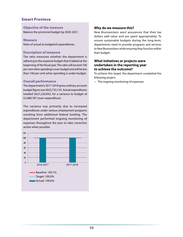### Smart Province

#### **Objective of the measure**

Balance the provincial budget by 2020-2021.

#### **Measure**

Ratio of actual to budgeted expenditures.

#### **Description of measure**

The ratio measures whether the department is adhering to the expense budget that it tabled at the beginning of the fiscal year. The ratio will exceed 100 per cent when spending is over-budget and will be less than 100 per cent when spending is under-budget.

#### **Overall performance**

The department's 2017-2018 gross ordinary account budget figure was \$623,735,155. Actual expenditures totalled \$627,224,942, for a variance to budget of \$3,489,787 (over-expenditure).

The variance was primarily due to increased expenditures under various employment programs resulting from additional federal funding. The department performed ongoing monitoring of expenses throughout the year to take corrective action when possible.



#### **Why do we measure this?**

New Brunswickers want assurances that their tax dollars add value and are spent appropriately. To ensure sustainable budgets during the long-term, departments need to provide programs and services to New Brunswickers while ensuring they function within their budget.

#### **What initiatives or projects were undertaken in the reporting year to achieve the outcome?**

To achieve this target, the department completed the following project:

• The ongoing monitoring of expenses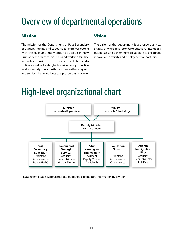# <span id="page-14-0"></span>Overview of departmental operations

### Mission

The mission of the Department of Post-Secondary Education, Training and Labour is to empower people with the skills and knowledge to succeed in New Brunswick as a place to live, learn and work in a fair, safe and inclusive environment. The department also aims to cultivate a well-educated, highly skilled and productive workforce and population through innovative programs and services that contribute to a prosperous province.

### Vision

The vision of the department is a prosperous New Brunswick where post-secondary educational institutions, businesses and government collaborate to encourage innovation, diversity and employment opportunity.

# High-level organizational chart



Please refer to page 22 for actual and budgeted expenditure information by division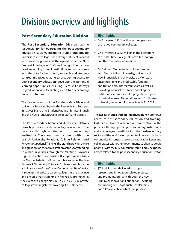# <span id="page-15-0"></span>Divisions overview and highlights

### Post-Secondary Education Division

The **Post-Secondary Education Division** has the responsibility for overseeing the post-secondary education system, including public and private universities and colleges, the delivery of student financial assistance programs and the operation of the New Brunswick College of Craft and Design. The division provides funding to public institutions and works closely with them to further priority research and studentcentred initiatives relating to broadening access to post-secondary education; developing experiential learning opportunities; ensuring successful pathways to graduation; and facilitating credit transfers among public institutions.

The division consists of the Post-Secondary Affairs and University Relations Branch, the Research and Strategic Initiatives Branch, the Student Financial Services Branch and the New Brunswick College of Craft and Design.

The **Post-Secondary Affairs and University Relations Branch** promotes post-secondary education in the province through working with post-secondary institutions. There are three main units within the branch: University Relations, College Relations and Private Occupational Training. The branch provides advice and guidance on the administration of the yearly funding to public universities through the Maritime Provinces Higher Education Commission. It supports and advises the Minister to fulfill GNB's responsibilities under the *New Brunswick Community College Act*. It is responsible for the administration of the *Private Occupational Training Act.*  It regulates all private career colleges in the province and ensures that students are financially protected in the event of a college closure. In 2017-2018, 47 private colleges were registered, covering 3,215 students.

#### **Highlights**

- GNB invested \$95.2 million in the operations of the two community colleges.
- GNB invested \$224.8 million in the operations of the Maritime College of Forest Technology and the four public universities.
- GNB signed Memoranda of Understanding with Mount Allison University, University of New Brunswick and Université de Moncton, ensuring stable and predictable funding and tuition amounts for four years, as well as providing financial assistance enabling the institutions to produce pilot projects on topics of mutual interest. Negotiations with St. Thomas University were ongoing as of March 31, 2018.

The **Research and Strategic Initiatives Branch** promotes access to post-secondary education and training; fosters a culture of research and innovation in the province through public post-secondary institutions; and encourages transitions into the post-secondary sector and the workforce. It promotes inter-jurisdictional communication on post-secondary education issues and collaborates with other governments to align strategic priorities with the K-12 education sector. It provides policy advice related to the post-secondary education sector.

#### **Highlights**

**\*** \$7.2 million was delivered to support research and innovation-related projects and programs, primarily through the New Brunswick Innovation Foundation, including the funding of 182 graduate scholarships and 112 research assistantship positions.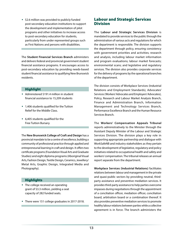\* \$2.6 million was provided to publicly funded post-secondary education institutions to support the development and implementation of pilot programs and other initiatives to increase access to post-secondary education for students, particularly from under represented groups such as First Nations and persons with disabilities.

The **Student Financial Services Branch** administers and delivers federal and provincial government student financial assistance programs. It encourages access to post-secondary education by providing needs-based student financial assistance to qualifying New Brunswick residents.

#### Highlight

- Administered \$191.4 million in student financial assistance to 15,209 students
- 1,406 students qualified for the Tuition Relief for the Middle Class.
- 6,405 students qualified for the Free Tuition Bursary.

The **New Brunswick College of Craft and Design** has a provincial mandate to be a centre of excellence, building a community of professional practice through applied and entrepreneurial learning in craft and design. It offers two certificate programs (Foundation Visual Arts and Graduate Studies) and eight diploma programs (Aboriginal Visual Arts, Fashion Design, Textile Design, Ceramics, Jewellery/ Metal Arts, Graphic Design, Integrated Media and Photography).

#### **Highlights**

- The college received an operating grant of \$3.3 million, yielding a seat capacity of 282 funded seats.
- There were 151 college graduates in 2017-2018.

### Labour and Strategic Services **Division**

The **Labour and Strategic Services Division** is mandated to provide services to the public through the administration of various acts and regulations for which the department is responsible. The division supports the department through policy, ensuring consistency with government priorities and activities; research and analysis, including labour market information and program evaluations; labour market forecasts; environmental scans; and legislative and regulatory services. The division also provides corporate services for the delivery of programs by the operational branches of the department.

The division consists of Workplace Services (Industrial Relations and Employment Standards), Advocates' Services (Workers' Advocates and Employers' Advocates), Policy, Research and Labour Market Analysis Branch, Finance and Administration Branch, Information Management and Technology Services Branch, Performance Excellence Branch and the Human Resource Services Branch.

The **Workers' Compensation Appeals Tribunal** reports administratively to the Minister through the Assistant Deputy Minister of the Labour and Strategic Services Division. The division plays a key role in supporting appropriate partnership and dialogue with WorkSafeNB and industry stakeholders as they pertain to the development of legislative, regulatory and policy initiatives related to occupational health and safety and workers' compensation. The tribunal releases an annual report separate from the department.

**Workplace Services (Industrial Relations)** facilitates relations between labour and management in the private and quasi-public sectors by providing neutral, thirdparty assistance and preventive mediation services. It provides third-party assistance to help parties overcome impasses during negotiations through the appointment of a conciliation officer, mediation officer, conciliation board, arbitration board or a combination thereof. It also provides preventive mediation services to promote healthy labour relations between parties while a collective agreement is in force. The branch administers the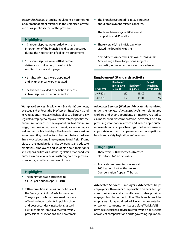*Industrial Relations Act* and its regulations by promoting labour management relations in the unionized private and quasi public sectors of the province.

#### **Highlights**

- 19 labour disputes were settled with the intervention of the branch. The disputes occurred during the negotiation of collective agreements.
- 18 labour disputes were settled before strike or lockout action, one of which resulted in a work stoppage.
- 46 rights arbitrators were appointed and 14 grievances were mediated.
- The branch provided conciliation services in two disputes in the public sector.

**Workplace Services (Employment Standards)** promotes, oversees and enforces the *Employment Standards Act* and its regulations. The act, which applies to all provincially regulated employee/employer relationships, specifies the minimum standards of employment, such as minimum wage, overtime rates, hours of work, vacation pay as well as paid public holidays. The branch is responsible for representing the director at hearings before the New Brunswick Labour and Employment Board. A significant piece of the mandate is to raise awareness and educate employers, employees and students about their rights and responsibilities vis-à-vis the legislation. Staff conducts numerous educational sessions throughout the province to encourage better awareness of the act.

#### **Highlights**

- The minimum wage increased to \$11.25 per hour on April 1, 2018.
- 210 information sessions on the basics of the *Employment Standards Act* were held. The groups to whom these sessions were offered include students in public schools and post-secondary institutions, as well as stakeholders (employees/employers), professional associations and newcomers.
- The branch responded to 15,302 inquiries about employment-related concerns.
- The branch investigated 886 formal complaints and 45 audits.
- There were 69,716 individuals who visited the branch's website.
- Amendments under the *Employment Standards Act* creating a leave for persons subject to domestic, intimate partner or sexual violence.

#### **Employment Standards activity**

| Fiscal year | <b>Number of</b><br>information<br>sessions | <b>Number of</b><br><b>inquiries</b> | <b>Formal</b><br>complaints<br>investigated |
|-------------|---------------------------------------------|--------------------------------------|---------------------------------------------|
| 2017-2018   | 210                                         | 15,302                               | 886                                         |
| 2016-2017   | 167                                         | 13,141                               | 707                                         |

**Advocates Services (Workers' Advocates)** is mandated under the *Workers' Compensation Act* to help injured workers and their dependants on matters related to claims for workers' compensation. Advocates help by providing information, advice and, when appropriate, representation at appeal hearings. The branch ensures appropriate workers' compensation and occupational health and safety legislation enforcement.

#### **Highlights**

- There were 388 new cases, 416 cases closed and 466 active cases.
- Advocates represented workers at 166 hearings before the Workers' Compensation Appeals Tribunal.

**Advocates Services (Employers' Advocates)** helps employers with workers' compensation matters through communication and consultation. It also provides engaged learning opportunities. The branch provides employers with specialized advice and representation on workers' compensation issues before WorkSafeNB. It provides specialized advice to employers on all aspects of workers' compensation and its governing legislation.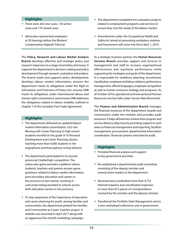#### **Highlights**

- There were 263 new cases, 159 active cases and 174 closed cases.
- Advocates represented employers at 39 hearings before the Workers' Compensation Appeals Tribunal.

The **Policy, Research and Labour Market Analysis Branch** develops effective and strategic policy and research responses to a range of priorities and issues. It supports the department in decision-making and policy development through research, evaluation and analysis. The branch leads and supports policy development; develops labour market information; ensures the department meets its obligations under the *Right to Information and Protection of Privacy Act*; ensures GNB meets its obligations under international labour and human rights conventions; and ensures GNB addresses the obligations related to labour mobility outlined in chapter 7 of the Canadian Free Trade Agreement.

#### **Highlights**

- The department delivered an updated labour market information presentation, Let's Get Moving with Career Planning to high school students enrolled in the grade 9/10 Personal Development and Career Planning classes, reaching more than 4,000 students in the anglophone and francophone school districts.
- The department participated in its second provincial ChatterHigh competition. The online edu-game provides a platform where students, teachers and parents answer game questions related to labour market information, post-secondary education and careers in the province to earn points, resulting in cash prizes being awarded to schools across both education sectors in the province.
- To raise awareness of the importance of education and career planning for youth, among families and communities, the department piloted the Families and Communities as Career Coaches project. A website was launched in April 2017 along with an aggressive five-month marketing campaign.
- The department completed ten evaluation projects related to employment programs and services to ensure they met the needs of the labour market.
- Amendments under the *Occupational Health and Safety Act* aimed at preventing workplace violence and harassment will come into force April 1, 2019.

As a strategic business partner, the **Human Resources Services Branch** provides support and services to management and staff to increase organizational effectiveness and maximize performance while supporting the strategies and goals of the department. It is responsible for workforce planning, recruitment, classification, employee and labour relations, performance management, official languages, employee recognition as well as human resources strategy and programs. As of October 2016, operational and transactional Human Resources services falls under Service New Brunswick.

The **Finance and Administration Branch** manages the financial resources of the department, boards and commissions under the minister and provides audit assurance. It helps all branches achieve their program and service delivery objectives by providing support in such areas as financial management and reporting, facilities management, procurement, departmental information coordination, financial systems and internal audit.

#### **Highlights**

- Provided financial analysis and support to key government priorities.
- Re-established a departmental audit committee consisting of the deputy minister and several senior leaders in the department.
- Received and coordinated more than 4,732 Internet inquiries and coordinated responses to more than 813 pieces of correspondence received by the minister and the deputy minister.
- Transferred the Portfolio Debt Management unit to a new centralized collections unit in government.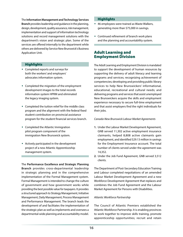#### The **Information Management and Technology Services**

**Branch** provides leadership and guidance in the planning, design, development, quality assurance, risk management, implementation and support of information technology solutions and record management solutions with the department's vision and strategic plan. Some of the services are offered internally to the department while others are delivered by Service New Brunswick's Business Application Unit.

#### **Highlights**

- Completed reports and surveys for both the workers' and employers' advocates information system.
- Completed the migration of the employment development images to the total records information system HPRM and eliminated the legacy imaging system.
- Completed the tuition relief for the middle class program and the alignment with the federal fixed student contribution on provincial assistance program for the student financial services branch.
- Completed the Atlantic Immigration pilot program component of the immigration New Brunswick system.
- Actively participated in the development project of a new Atlantic Apprenticeship management system.

The **Performance Excellence and Strategic Planning Branch** provides cross-departmental leadership in strategic planning and in the comprehensive implementation of the Formal Management system. Formal Management is intended to change the culture of government and how government works while providing the best possible value for taxpayers. It provides a structured approach to Strategy Management, Initiative Management, Daily Management, Process Management and Performance Management. The branch leads the development of and facilitates the implementation of the strategic plan as well as implements and oversees a departmental-wide planning and accountability model.

#### **Highlights**

- 46 employees were trained as Waste Walkers, generating more than \$75,000 in savings.
- Continued refinement of branch work plans and the planning and accountability system.

#### Adult Learning and Employment Division

The Adult Learning and Employment Division is mandated to support the development of human resources by supporting the delivery of adult literacy and learning programs and services; recognizing achievement of competencies; developing and providing public library services to help New Brunswickers' informational, educational, recreational and cultural needs; and delivering programs and services that assist unemployed New Brunswickers acquire the skills and employment experience necessary to secure full-time employment and that assist employers find the right individuals for their jobs.

#### *Canada-New Brunswick Labour Market Agreements*

- **1.** Under the Labour Market Development Agreement, GNB served 11,302 active employment insurance claimants, helped 8,808 active claimants gain employment, and identified \$29.13 million in savings for the Employment Insurance account. The total number of clients served under the agreement was 14,352.
- **2.** Under the Job Fund Agreement, GNB served 3,512 clients.

The Department of Post-Secondary Education Training and Labour completed negotiations of an amended Labour Market Development Agreement and a new Workforce Development Agreement that replaces and combines the Job Fund Agreement and the Labour Market Agreement for Persons with Disabilities.

#### *Atlantic Workforce Partnership*

The Council of Atlantic Premiers established the Atlantic Workforce Partnership. It is enabling provinces to work together to improve skills training, promote apprenticeship opportunities; recruit and retain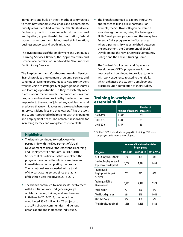immigrants; and build on the strengths of communities to meet new economic challenges and opportunities. Priority areas identified within the Atlantic Workforce Partnership action plan include: attraction and immigration; apprenticeship harmonization; federal labour market programs; labour market information; business supports; and youth initiatives.

The division consists of the Employment and Continuous Learning Services Branch, the Apprenticeship and Occupational Certification Branch and the New Brunswick Public Library Services.

The **Employment and Continuous Learning Services Branch** provides employment programs, services and continuous learning opportunities to New Brunswickers with the vision to strategically align programs, resources and learning opportunities so they consistently meet clients' labour market needs. The branch ensures that programs and services provided by the department are responsive to the needs of job seekers, adult learners and employers; that new initiatives are developed when a gap in service is identified; and that local staff has the tools and supports required to help clients with their training and employment needs. The branch is responsible for increasing literacy and workplace essential skills.

#### **Highlights**

- The branch continued to work closely in partnership with the Department of Social Development to deliver the Experiential Learning and Employment Continuum. In 2017-2018, 66 per cent of participants that completed the program transitioned to full-time employment immediately after completing the program. The target goal was exceeded with a total of 449 participants served since the launch of this three-year initiative in 2016-2017.
- The branch continued to increase its involvement with First Nations and Indigenous groups on labour market, training and employment initiatives. In 2017-2018, the department contributed \$3.45 million for 75 projects to assist First Nation communities, Indigenous organizations and Indigenous individuals.
- The branch continued to explore innovative approaches to filling skills shortages. For example, the Southwest Region delivered a local strategic initiative, using the Training and Skills Development program and the Workplace Essential Skills program in the Sussex area where a partnership was established between the department, the Department of Social Development, the New Brunswick Community College and the Kiwanis Nursing Home.
- The Student Employment and Experience Development (SEED) program was further improved and continued to provide students with work experience related to their skills, which enhanced the student's employment prospects upon completion of their studies.

#### Training in workplace essential skills

| Year      | <b>Number of learners</b> I | Number of<br>initiatives |
|-----------|-----------------------------|--------------------------|
| 2017-2018 | $1.361*$                    | 119                      |
| 2016-2017 | 1,304                       | 117                      |
| 2015-2016 | 1.367                       | 85                       |

\* Of the 1,361 individuals engaged in training, 395 were employed, 966 were [unemployed.](http://unemployed.Highlights)

|                                                                | <b>Number of individuals assisted</b><br>by programs |           |           |  |
|----------------------------------------------------------------|------------------------------------------------------|-----------|-----------|--|
| <b>Programs</b>                                                | 2017-2018                                            | 2016-2017 | 2015-2016 |  |
| Self-Employment Benefit                                        | 348                                                  | 359       | 388       |  |
| <b>Student Employment and</b><br><b>Experience Development</b> | 1,610                                                | 1,614     | 1,439     |  |
| Training and<br><b>Employment Support</b><br><b>Services</b>   | 537                                                  | 825       | 678       |  |
| <b>Training and Skills</b><br>Development                      | 7,487                                                | 7,429     | 7,324     |  |
| <b>Work Ability</b>                                            | 474                                                  | 470       | 470       |  |
| <b>Workforce Expansion</b>                                     | 698                                                  | 818       | 1,048     |  |
| One-Job Pledge                                                 | 496                                                  | 488       | 522       |  |
| Youth Employment Fund                                          | 1,559                                                | 1,428     | 1,482     |  |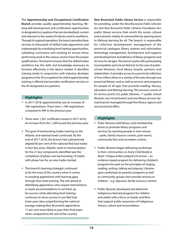The **Apprenticeship and Occupational Certification Branch** provides quality apprenticeship learning, lifelong skill development and certification opportunities in designated occupations that are standardized, current and relevant to the needs of industry and its workforce. Through its regional operations, the branch provides these services to thousands of skilled trade apprentices and tradespeople by scheduling level training opportunities, validating curriculum and working to ensure those performing work in the various sectors have the proper qualifications. The branch ensures that the skilled trades workforce has the skills and knowledge necessary to function effectively in the labour market. It identifies training needs in conjunction with industry, develops programs in the 50 occupations for which apprenticeship training is offered and provides certification services in the 69 designated occupations.

#### **Highlights**

- In 2017-2018, apprenticeship saw an increase of 186 registrations. There were 1,180 registrations compared to 994 in the previous year.
- There were 1,301 certificates issued in 2017-2018, an increase from the 1,209 issued the previous year.
- The goal of harmonizing trades training on the Atlantic and national levels continued. By the end of 2017-2018, the branch had substantively aligned 60 per cent of the national Red Seal trades in four key areas. Atlantic work on harmonization for the 21 key components identified saw the completion of phase one harmonizing 10 trades with phase two for six new trades started.
- The branch's learning strategist continued to be the envy of the country when it comes to assisting apprentices with learning gaps through their level training. The role aimed at identifying apprentices who require interventions or exam accommodations to set them up for success while attending level training continues to show success in our Red Seal Exam pass rates outperforming the national average making New Brunswick apprentices 11 per cent more likely to pass their final exam when compared to the rest of the country.

**New Brunswick Public Library Service** is responsible for providing, under the *New Brunswick Public Libraries Act* and *New Brunswick Public Libraries Foundation Act*, public library services that enrich the social, cultural and economic vitality of communities by opening doors to lifelong learning for all. The branch is responsible for collection development; management of the provincial catalogue; library systems and information technology management, development and support; and development and delivery of library programs and services for all ages. The branch works with participating municipalities and school districts (in the case of publicschool libraries), local library boards, partners and stakeholders. It provides access to a provincial collection of two million items in a variety of formats through one provincial library card as well as services and programs for people of all ages that promote reading, literacy, education and lifelong learning. The services consist of 65 service points (52 public libraries, 11 public-school libraries, one virtual branch and one library services-bymail branch) managed through five library regions and one provincial office.

#### **Highlights**

- Pubic libraries held library card membership drives to promote library programs and services by reaching people in new venues – parks, family resource centres, pow-wow's, community fairs and recreation centres.
- Public libraries began delivering workshops in their communities on *Every Child Ready to Read / Chaque enfant préparé à la lecture* – an evidence based program for delivering children's programs focused on the principles of singing, reading, writing, talking and playing. Libraries gave workshops to parents/caregivers as well as community groups who provide services to children – e.g. daycares, family resource centres.
- Public libraries developed and delivered Indigenous themed programs for children and adults with a focus on books and films that support public awareness of Indigenous history, culture and reconciliation.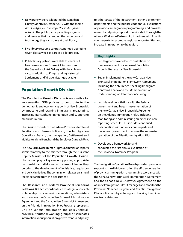- New Brunswickers celebrated the Canadian Library Month in October 2017 with the theme *A visit will get you thinking / Une visite : ça fait réfléchir.* The public participated in programs and services that focused on the resources and technology they can access at their library.
- Five library resource centres continued operating seven days a week as part of a pilot project.
- Public library patrons were able to check out free passes to New Brunswick Museum and the Beaverbrook Art Gallery with their library card, in addition to Kings Landing Historical Settlement, and Village historique acadien.

### Population Growth Division

The **Population Growth Division** is responsible for implementing GNB policies to contribute to the demographic and economic growth of New Brunswick by attracting and retaining immigrants, repatriating, increasing francophone immigration and supporting multiculturalism.

The division consists of the Federal-Provincial-Territorial Relations and Research Branch, the Immigration Operations Branch, the Immigration, Settlement and Multiculturalism Branch and the Employer Outreach Unit.

The **New Brunswick Human Rights Commission** reports administratively to the Minister through the Assistant Deputy Minister of the Population Growth Division. The division plays a key role in supporting appropriate partnership and dialogue with stakeholders as they pertain to the development of legislative, regulatory and policy initiatives. The commission releases an annual report separate from the department.

The **Research and Federal-Provincial-Territorial Relations Branch** coordinates a strategic approach to federal-provincial-territorial relations; administers and monitors the Canada-New Brunswick Immigration Agreement and the Canada-New Brunswick Agreement on the Atlantic Immigration Pilot Program; represents GNB on various immigration and policy federalprovincial-territorial working groups; disseminates information about population growth trends and policy

to other areas of the department, other government departments and the public; leads annual evaluations of provincial immigration programming; and provides research and policy support to senior staff. Through the Atlantic Workforce Partnership, it partners with Atlantic counterparts to promote regional opportunities and increase immigration to the region.

#### **Highlights**

- Led targeted stakeholder consultations on the development of a renewed Population Growth Strategy for New Brunswick.
- Began implementing the new Canada-New Brunswick Immigration Framework Agreement, including the only French-speaking Immigrant Annex in Canada and the Memorandum of Understanding on Information Sharing.
- Led bilateral negotiations with the federal government and began implementation of the new Canada-New Brunswick Agreement on the Atlantic Immigration Pilot, including monitoring and administering an extensive new reporting schedule. This includes continued collaboration with Atlantic counterparts and the federal government to ensure the successful operation of the Atlantic Immigration Pilot.
- Developed a framework for and conducted the first annual evaluation of the Provincial Nominee Program.

The **Immigration Operations Branch** provides operational support to the division ensuring the efficient operation of provincial immigration programs in accordance with the Canada-New Brunswick Immigration Agreement and the Canada-New Brunswick Agreement on the Atlantic Immigration Pilot. It manages and monitors the Provincial Nominee Program and Atlantic Immigration Pilot applications by entering and tracking them in an electronic database.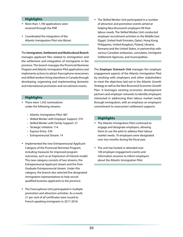#### **Highlights**

- More than 1,700 applications were received through the PNP.
- Coordinated the integration of the Atlantic Immigration Pilot into Biznet.

The **Immigration, Settlement and Multicultural Branch**  manages applicant files related to immigration and the settlement and integration of immigrants in the province. The branch manages the Provincial Nominee Program and Atlantic Immigration Pilot applications and implements actions to attract francophone newcomers and skilled workers living elsewhere in Canada through developing, organizing and implementing domestic and international promotion and recruitment events.

#### **Highlights**

- There were 1,542 nominations under the following streams:
	- Atlantic Immigration Pilot: 487
	- Skilled Worker with Employer Support: 370
	- Skilled Worker with Family Support: 27
	- Strategic Initiative: 114
	- Express Entry: 530
	- Entrepreneurial Stream: 14
- Implemented the new Entrepreneurial Applicant Category of the Provincial Nominee Program, including measures for improved program outcomes, such as an Expression of Interest model. This new category consists of two streams, the Entrepreneurial Applicant stream and the Post-Graduate Entrepreneurial stream. Under this category, the branch also selected five designated immigration representatives to help recruit qualified business applicants to the province.
- The Francophone Unit participated in multiple promotion and attraction activities. As a result, 21 per cent of all certificates were issued to French-speaking immigrants in 2017-2018.

 The Skilled Worker Unit participated in a number of attraction and promotion events aimed at helping New Brunswick employers fill their labour needs. The Skilled Worker Unit conducted employer recruitment activities in the Middle East (Egypt, United Arab Emirates, Qatar), Hong Kong, Philippines, United Kingdom, Poland, Ukraine, Romania and the United States, in partnership with various Canadian embassies, consulates, Immigrant Settlement Agencies, and municipalities.

The **Employer Outreach Unit** manages the employer engagement aspects of the Atlantic Immigration Pilot by working with employers and other stakeholders to meet the objectives laid out in the Atlantic Growth Strategy as well as the New Brunswick Economic Growth Plan. It leverages existing economic development partners and employer networks to identify employers interested in addressing their labour market needs through immigration, with an emphasis on employers' commitment to newcomers' settlement supports.

#### **Highlights**

- The Atlantic Immigration Pilot continued to engage and designate employers, allowing them to use the pilot to address their labour market needs. 76 employers were designated over two months during the fiscal year.
- The unit has hosted or attended over 100 employer engagement events and information sessions to inform employers about the Atlantic Immigration Pilot.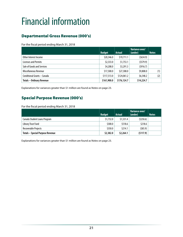# <span id="page-24-0"></span>Financial information

# Departmental Gross Revenue (000's)

For the fiscal period ending March 31, 2018

|                                  | <b>Budget</b> | <b>Actual</b> | Variance over/<br>(under) | <b>Notes</b> |
|----------------------------------|---------------|---------------|---------------------------|--------------|
| Other Interest Income            | \$20,346.0    | \$19,711.1    | (5634.9)                  |              |
| <b>Licenses and Permits</b>      | \$2,333.0     | \$1,753.1     | (5579.9)                  |              |
| Sale of Goods and Services       | \$4,208.0     | \$3,291.3     | (5916.7)                  |              |
| Miscellaneous Revenue            | \$17,500.0    | \$27,308.0    | \$9,808.0                 | (1)          |
| Conditional Grants - Canada      | \$117,513.0   | \$124,061.2   | \$6,548.2                 | (2)          |
| <b>Totals - Ordinary Revenue</b> | \$161,900.0   | \$176,124.7   | \$14,224.7                |              |

Explanations for variances greater than \$1 million are found as Notes on page 23.

### Special Purpose Revenue (000's)

For the fiscal period ending March 31, 2018

|                                         | <b>Budget</b> | <b>Actual</b> | Variance over/<br>(under) | <b>Notes</b> |
|-----------------------------------------|---------------|---------------|---------------------------|--------------|
| Canada Student Loans Program            | \$1,732.0     | \$1,531.4     | (5250.6)                  |              |
| Library Trust Fund                      | \$300.0       | \$518.6       | \$218.6                   |              |
| Recoverable Projects                    | \$350.0       | \$214.1       | (585.9)                   |              |
| <b>Totals - Special Purpose Revenue</b> | \$2,382.0     | \$2,264.1     | (5117.9)                  |              |

Explanations for variances greater than \$1 million are found as Notes on page 23.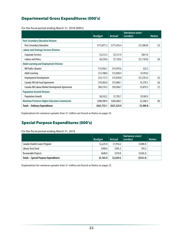## Departmental Gross Expenditures (000's)

For the fiscal period ending March 31, 2018 (000's)

|                                                       | <b>Budget</b> | <b>Actual</b> | Variance over/<br>(under) | <b>Notes</b> |
|-------------------------------------------------------|---------------|---------------|---------------------------|--------------|
| <b>Post-Secondary Education Division</b>              |               |               |                           |              |
| <b>Post-Secondary Education</b>                       | \$172,877.2   | \$171,676.4   | (51,200.8)                | (3)          |
| <b>Labour and Strategic Services Division</b>         |               |               |                           |              |
| <b>Corporate Services</b>                             | \$3,213.3     | \$3,131.9     | (581.4)                   |              |
| <b>Labour and Policy</b>                              | \$8,239.6     | \$7,129.6     | (51, 110.0)               | (4)          |
| <b>Adult Learning and Employment Division</b>         |               |               |                           |              |
| <b>NB Public Libraries</b>                            | \$15,956.1    | \$15,979.6    | \$23.5                    |              |
| <b>Adult Learning</b>                                 | \$12,188.0    | \$12,058.4    | (5129.6)                  |              |
| <b>Employment Development</b>                         | \$23,117.5    | \$15,878.0    | (57, 239.5)               | (5)          |
| Canada-NB Job Fund Agreement                          | \$10,382.0    | \$15,960.1    | \$5,578.1                 | (6)          |
| Canada-NB Labour Market Development Agreement         | \$89,219.2    | \$95,038.7    | \$5,819.5                 | (7)          |
| <b>Population Growth Division</b>                     |               |               |                           |              |
| <b>Population Growth</b>                              | \$8,242.2     | \$7,703.7     | (5538.5)                  |              |
| <b>Maritime Provinces Higher Education Commission</b> | \$280,300.0   | \$282,668.5   | \$2,368.5                 | (8)          |
| <b>Totals - Ordinary Expenditures</b>                 | \$623,735.1   | \$627,224.9   | \$3,489.8                 |              |

Explanations for variances greater than \$1 million are found as Notes on page 23.

### Special Purpose Expenditures (000's)

For the fiscal period ending March 31, 2018

|                                              | <b>Budget</b> | <b>Actual</b> | Variance over/<br>(under) | <b>Notes</b> |
|----------------------------------------------|---------------|---------------|---------------------------|--------------|
| Canada Student Loans Program                 | \$2,225.0     | \$1,916.6     | (5308.4)                  |              |
| Library Trust Fund                           | \$300.0       | \$393.2       | 593.2                     |              |
| Recoverable Projects                         | \$640.0       | \$319.8       | (5320.2)                  |              |
| <b>Totals - Special Purpose Expenditures</b> | \$3,165.0     | \$2,629.6     | (5535.4)                  |              |

Explanations for variances greater than \$1 million are found as Notes on page 23.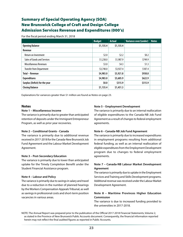### Summary of Special Operating Agency (SOA) New Brunswick College of Craft and Design College Admission Services Revenue and Expenditures (000's)

For the fiscal period ending March 31, 2018

|                                 | <b>Budget</b> | <b>Actual</b> | <b>Variance over/(under)</b> | <b>Notes</b> |
|---------------------------------|---------------|---------------|------------------------------|--------------|
| <b>Opening Balance</b>          | \$1,135.4     | \$1,135.4     |                              |              |
| Revenue                         |               |               |                              |              |
| <b>Return on Investment</b>     | \$2.0         | \$2.2\$       | \$0.2\$                      |              |
| Sales of Goods and Services     | \$1,238.0     | \$1,987.9     | \$749.9                      |              |
| <b>Miscellaneous Revenues</b>   | \$3.0         | \$4.3\$       | \$1.3                        |              |
| <b>Transfer from Department</b> | \$3,740.0     | \$3,927.4     | \$187.4                      |              |
| <b>Total - Revenue</b>          | \$4,983.0     | \$5,921.8     | \$938.8                      |              |
| <b>Expenditures</b>             | \$4,983.0     | \$5,605.9     | \$622.9                      |              |
| Surplus (Deficit) for the year  | \$0.0\$       | \$315.9       | \$315.9                      |              |
| <b>Closing Balance</b>          | \$1,135.4     | \$1,451.3     |                              |              |

Explanations for variances greater than \$1 million are found as Notes on page 23.

#### **Notes**

#### **Note 1 – Miscellaneous Income**

The variance is primarily due to greater than anticipated retention of deposits under the Immigrant Entrepreneur Program, as well as prior year recoveries.

#### **Note 2 – Conditional Grants - Canada**

The variance is primarily due to additional revenue received in 2017-2018 for the Canada-New Brunswick Job Fund Agreement and the Labour Market Development Agreement.

#### **Note 3 – Post-Secondary Education**

The variance is primarily due to lower than anticipated uptake for the Timely Completion Benefit under the Student Financial Assistance program.

#### **Note 4 – Labour and Policy**

The variance is primarily due to savings in salary and travel due to a reduction in the number of planned hearings by the Workers Compensation Appeals Tribunal, as well as savings in professional costs and short-term position vacancies in various areas.

#### **Note 5 – Employment Development**

The variance is primarily due to an internal reallocation of eligible expenditures to the Canada-NB Job Fund Agreement as a result of changes to federal employment agreements.

#### **Note 6 – Canada-NB Job Fund Agreement**

The variance is primarily due to increased expenditures in employment programs resulting from additional federal funding, as well as an internal reallocation of eligible expenditures from the Employment Development program due to changes to federal employment agreements.

#### **Note 7 – Canada-NB Labour Market Development Agreement**

The variance is primarily due to uptake in the Employment Services and Training and Skills Development programs. Additional revenue was received under the Labour Market Development Agreement.

#### **Note 8 – Maritime Provinces Higher Education Commission**

The variance is due to increased funding provided to the universities in 2017-2018.

NOTE: The Annual Report was prepared prior to the publication of the Official 2017-2018 Financial Statements, Volume 2, as stated in the Province of New Brunswick Public Accounts document. Consequently, the financial information reported herein may not reflect the final audited figures as reported in Public Accounts.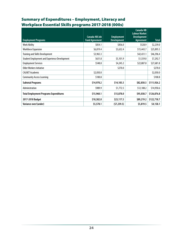# Summary of Expenditures – Employment, Literacy and Workplace Essential Skills programs 2017-2018 (000s)

| <b>Employment Programs</b>                           | <b>Canada-NB Job</b><br><b>Fund Agreement</b> | <b>Employment</b><br><b>Development</b> | Canada-NB<br><b>Labour Market</b><br><b>Development</b><br>Agreement | <b>Total</b> |
|------------------------------------------------------|-----------------------------------------------|-----------------------------------------|----------------------------------------------------------------------|--------------|
| <b>Work Ability</b>                                  | \$854.1                                       | \$856.0                                 | \$528.9                                                              | \$2,239.0    |
| <b>Workforce Expansion</b>                           | \$6,819.4                                     | \$3,632.4                               | \$15,443.7                                                           | \$25,895.5   |
| <b>Training and Skills Development</b>               | \$3,965.3                                     |                                         | \$42,431.1                                                           | \$46,396.4   |
| <b>Student Employment and Experience Development</b> | \$631.8                                       | \$5,101.9                               | \$1,559.0                                                            | \$7,292.7    |
| <b>Employment Services</b>                           | \$548.8                                       | \$4,245.2                               | \$22,887.8                                                           | \$27,681.8   |
| Older Workers Initiative                             |                                               | \$270.0                                 |                                                                      | \$270.0      |
| <b>CALNET Academic</b>                               | \$2,050.0                                     |                                         |                                                                      | \$2,050.0    |
| <b>Community Access Learning</b>                     | \$100.8                                       |                                         |                                                                      | \$100.8      |
| <b>Subtotal Programs</b>                             | \$14,970.2                                    | \$14,105.5                              | \$82,850.5                                                           | \$111,926.2  |
| Administration                                       | \$989.9                                       | \$1,772.5                               | \$12,188.2                                                           | \$14,950.6   |
| <b>Total Employment Programs Expenditures</b>        | \$15,960.1                                    | \$15,878.0                              | \$95,038.7                                                           | \$126,876.8  |
| 2017-2018 Budget                                     | \$10,382.0                                    | \$23,117.5                              | \$89,219.2                                                           | \$122,718.7  |
| Variance over/(under)                                | \$5,578.1                                     | (57, 239.5)                             | \$5,819.5                                                            | \$4,158.1    |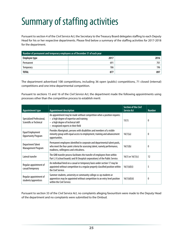# <span id="page-28-0"></span>Summary of staffing activities

Pursuant to section 4 of the *Civil Service Act*, the Secretary to the Treasury Board delegates staffing to each Deputy Head for his or her respective departments. Please find below a summary of the staffing activities for 2017-2018 for the department.

| Number of permanent and temporary employees as of December 31 of each year |      |      |  |
|----------------------------------------------------------------------------|------|------|--|
| Employee type                                                              | 2017 | 2016 |  |
| Permanent                                                                  | 691  | 701  |  |
| lemporary                                                                  | 186  | 196  |  |
| <b>TOTAL</b>                                                               | 877  | 897  |  |

The department advertised 108 competitions, including 36 open (public) competitions, 71 closed (internal) competitions and one intra-departmental competition.

Pursuant to sections 15 and 16 of the *Civil Service Act*, the department made the following appointments using processes other than the competitive process to establish merit:

| <b>Appointment type</b>                              | <b>Appointment description</b>                                                                                                                                                                       | Section of the Civil<br><b>Service Act</b> | <b>Number</b> |
|------------------------------------------------------|------------------------------------------------------------------------------------------------------------------------------------------------------------------------------------------------------|--------------------------------------------|---------------|
| Specialized Professional,<br>Scientific or Technical | An appointment may be made without competition when a position requires:<br>$-$ a high degree of expertise and training<br>- a high degree of technical skill<br>- recognized experts in their field | 15(1)                                      | $\mathbf{0}$  |
| Equal Employment<br><b>Opportunity Program</b>       | Provides Aboriginals, persons with disabilities and members of a visible<br>minority group with equal access to employment, training and advancement<br>opportunities.                               | 16(1)(a)                                   | $\bf{0}$      |
| <b>Department Talent</b><br>Management Program       | Permanent employees identified in corporate and departmental talent pools,<br>who meet the four-point criteria for assessing talent, namely performance,<br>readiness, willingness and criticalness. | 16(1)(b)                                   | $\theta$      |
| Lateral transfer                                     | The GNB transfer process facilitates the transfer of employees from within<br>Part I, II (school boards) and III (hospital corporations) of the Public Service.                                      | $16(1)$ or $16(1)(c)$                      | 12            |
| Regular appointment of<br>casual/temporary           | An individual hired on a casual or temporary basis under section 17 may be<br>appointed without competition to a regular properly classified position within<br>the Civil Service.                   |                                            | 5             |
| Regular appointment of<br>students/apprentices       | Summer students, university or community college co-op students or<br>apprentices may be appointed without competition to an entry level position<br>within the Civil Service.                       | 16(1)(d)(ii)                               | 0             |

Pursuant to section 33 of the *Civil Service Act*, no complaints alleging favouritism were made to the Deputy Head of the department and no complaints were submitted to the Ombud.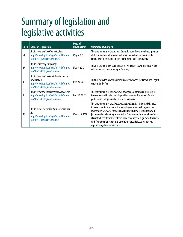# <span id="page-29-0"></span>Summary of legislation and legislative activities

| Bill $#$ | <b>Name of legislation</b>                                                                                                               | Date of<br><b>Royal Assent</b> | <b>Summary of changes</b>                                                                                                                                                                                                                                                                                                                                                                                                                                                                     |
|----------|------------------------------------------------------------------------------------------------------------------------------------------|--------------------------------|-----------------------------------------------------------------------------------------------------------------------------------------------------------------------------------------------------------------------------------------------------------------------------------------------------------------------------------------------------------------------------------------------------------------------------------------------------------------------------------------------|
| 51       | An Act to Amend the Human Rights Act<br>http://www1.gnb.ca/legis/bill/editform-e.<br>asp?ID=1319&legi=58#=3                              | May 5, 2017                    | The amendments to the <i>Human Rights Act</i> added new prohibited grounds<br>of discrimination, address inequalities in protection, modernized the<br>language of the Act, and improved the handling of complaints.                                                                                                                                                                                                                                                                          |
| 67       | An Act Respecting Family Day<br>http://www1.gnb.ca/legis/bill/editform-e.<br>asp?ID=1337&legi=58#=3                                      | May 5, 2017                    | This Bill created a new paid holiday for workers in New Brunswick, which<br>will occur every third Monday in February.                                                                                                                                                                                                                                                                                                                                                                        |
| 3        | An Act to Amend the Public Service Labour<br><b>Relations Act</b><br>http://www1.gnb.ca/legis/bill/editform-e.<br>asp?ID=1347&legi=58#=4 | Dec. 20, 2017                  | This Bill corrected a wording inconsistency between the French and English<br>versions of the Act.                                                                                                                                                                                                                                                                                                                                                                                            |
| 4        | An Act to Amend the Industrial Relations Act<br>http://www1.gnb.ca/legis/bill/editform-e.<br>asp?ID=1348&legi=58#=4                      | Dec. 20, 2017                  | The amendments to the Industrial Relations Act introduced a process for<br>first contract arbitration, which provides an accessible remedy for the<br>parties when bargaining has reached an impasse.                                                                                                                                                                                                                                                                                         |
| 44       | An Act to Amend the Employment Standards<br>Act<br>http://www1.gnb.ca/legis/bill/editform-e.<br>asp?ID=1388&legi=58#=4                   | March 16, 2018                 | The amendments to the <i>Employment Standards Act</i> introduced changes<br>to leave provisions to mirror the federal government's changes to the<br>Employment Insurance Act will provide New Brunswick employees with<br>job protection when they are receiving Employment Insurance benefits. It<br>also introduced domestic violence leave provisions to align New Brunswick<br>with four other jurisdictions that currently provide leave for persons<br>experiencing domestic violence. |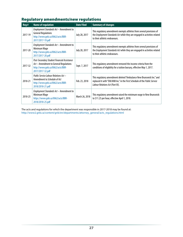# Regulatory amendments/new regulations

| Reg#    | <b>Name of regulation</b>                                                                                                                     | <b>Date Filed</b> | <b>Summary of changes</b>                                                                                                                                                              |
|---------|-----------------------------------------------------------------------------------------------------------------------------------------------|-------------------|----------------------------------------------------------------------------------------------------------------------------------------------------------------------------------------|
| 2017-19 | Employment Standards Act - Amendment to<br><b>General Regulations</b><br>http://www.gnb.ca/0062/acts/BBR-<br>2017/2017-19.pdf                 | July 28, 2017     | This regulatory amendment exempts athletes from several provisions of<br>the Employment Standards Act while they are engaged in activities related<br>to their athletic endeavours.    |
| 2017-20 | Employment Standards Act - Amendment to<br>Minimum Wage<br>http://www.gnb.ca/0062/acts/BBR-<br>2017/2017-20.pdf                               | July 28, 2017     | This regulatory amendment exempts athletes from several provisions of<br>the Employment Standards Act while they are engaged in activities related<br>to their athletic endeavours.    |
| 2017-32 | Post-Secondary Student Financial Assistance<br>Act - Amendment to General Regulations<br>http://www.gnb.ca/0062/acts/BBR-<br>2017/2017-32.pdf | Sept. 7, 2017     | This regulatory amendment removed the income criteria from the<br>conditions of eligibility for a tuition bursary, effective May 1, 2017.                                              |
| 2018-21 | Public Service Labour Relations Act -<br>Amendment to Schedule of Act<br>http://www.gnb.ca/0062/acts/BBR-<br>2018/2018-21.pdf                 | Feb. 23, 2018     | This regulatory amendment deleted "Ambulance New Brunswick Inc." and<br>replaced it with "EM/ANB Inc." in the First Schedule of the Public Service<br>Labour Relations Act (Part III). |
| 2018-25 | Employment Standards Act - Amendment to<br>Minimum Wage<br>https://www.gnb.ca/0062/acts/BBR-<br>2018/2018-25.pdf                              | March 26, 2018    | This regulatory amendment raised the minimum wage in New Brunswick<br>to \$11.25 per hour, effective April 1, 2018.                                                                    |

The acts and regulations for which the department was responsible in 2017-2018 may be found at: [http://www2.gnb.ca/content/gnb/en/departments/attorney\\_general/acts\\_regulations.html](http://www2.gnb.ca/content/gnb/en/departments/attorney_general/acts_regulations.html)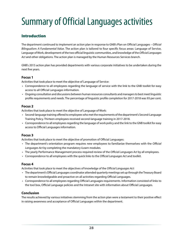# <span id="page-31-0"></span>Summary of Official Languages activities

### Introduction

The department continued to implement an action plan in response to GNB's Plan on Official Languages – *Official Bilingualism: A Fundamental Value*. The action plan is tailored to four specific focus areas: Language of Service, Language of Work, development of the two official linguistic communities, and knowledge of the *Official Languages Act* and other obligations. The action plan is managed by the Human Resources Services branch.

GNB's 2015 action plan has provided departments with various corporate initiatives to be undertaken during the next five years.

#### **Focus 1**

Activities that took place to meet the objective of Language of Service:

- Correspondence to all employees regarding the language of service with the link to the GNB toolkit for easy access to all Official Languages information.
- Ongoing consultation and discussions between human resources consultants and managers to best meet linguistic profile requirements and needs. The percentage of linguistic profile completion for 2017-2018 was 93 per cent.

#### **Focus 2**

Activities that took place to meet the objective of Language of Work:

- Second-language training offered to employees who met the requirements of the department's Second-Language Training Policy. Thirteen employees received second-language training in 2017-2018.
- Correspondence to all employees regarding the language of work policy and the link to the GNB toolkit for easy access to Official Languages information.

#### **Focus 3**

Activities that took place to meet the objective of promotion of Official Languages:

- The department's orientation program requires new employees to familiarize themselves with the *Official Languages Act* by completing the mandatory iLearn modules.
- The yearly Performance Management process required review of the *Official Languages Act* by all employees.
- Correspondence to all employees with the quick links to the *Official Languages Act* and toolkit.

#### **Focus 4**

Activities that took place to meet the objectives of knowledge of the *Official Languages Act*:

- The department's Official Languages coordinator attended quarterly meetings set up through the Treasury Board to remain knowledgeable and proactive on all activities regarding Official Languages.
- Correspondence to all employees regarding Official Languages requirements. Information consisted of links to the tool box, Official Language policies and the Intranet site with information about Official Languages.

#### **Conclusion**

The results achieved by various initiatives stemming from the action plan were a testament to their positive effect in raising awareness and acceptance of Official Languages within the department.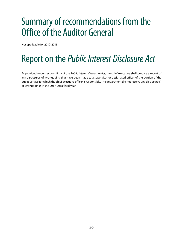# <span id="page-32-0"></span>Summary of recommendations from the Office of the Auditor General

Not applicable for 2017-2018

# Report on the *Public Interest Disclosure Act*

As provided under section 18(1) of the *Public Interest Disclosure Act*, the chief executive shall prepare a report of any disclosures of wrongdoing that have been made to a supervisor or designated officer of the portion of the public service for which the chief executive officer is responsible. The department did not receive any disclosure(s) of wrongdoings in the 2017-2018 fiscal year.